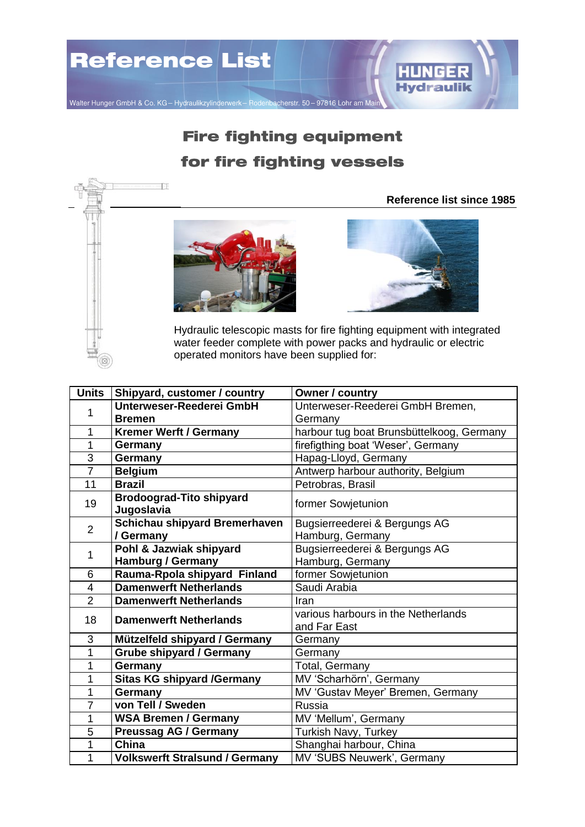

## **Fire fighting equipment** for fire fighting vessels

## **Reference list since 1985**



 $-1$ 



Hydraulic telescopic masts for fire fighting equipment with integrated water feeder complete with power packs and hydraulic or electric operated monitors have been supplied for:

| <b>Units</b>   | Shipyard, customer / country                  | Owner / country                                     |
|----------------|-----------------------------------------------|-----------------------------------------------------|
| 1              | Unterweser-Reederei GmbH                      | Unterweser-Reederei GmbH Bremen,                    |
|                | <b>Bremen</b>                                 | Germany                                             |
| 1              | <b>Kremer Werft / Germany</b>                 | harbour tug boat Brunsbüttelkoog, Germany           |
| 1              | Germany                                       | firefigthing boat 'Weser', Germany                  |
| 3              | Germany                                       | Hapag-Lloyd, Germany                                |
| $\overline{7}$ | <b>Belgium</b>                                | Antwerp harbour authority, Belgium                  |
| 11             | <b>Brazil</b>                                 | Petrobras, Brasil                                   |
| 19             | <b>Brodoograd-Tito shipyard</b><br>Jugoslavia | former Sowjetunion                                  |
| $\overline{2}$ | Schichau shipyard Bremerhaven                 | Bugsierreederei & Bergungs AG                       |
|                | / Germany                                     | Hamburg, Germany                                    |
| 1              | Pohl & Jazwiak shipyard                       | Bugsierreederei & Bergungs AG                       |
|                | <b>Hamburg / Germany</b>                      | Hamburg, Germany                                    |
| 6              | Rauma-Rpola shipyard Finland                  | former Sowjetunion                                  |
| $\overline{4}$ | <b>Damenwerft Netherlands</b>                 | Saudi Arabia                                        |
| $\overline{2}$ | <b>Damenwerft Netherlands</b>                 | Iran                                                |
| 18             | <b>Damenwerft Netherlands</b>                 | various harbours in the Netherlands<br>and Far East |
| 3              | Mützelfeld shipyard / Germany                 | Germany                                             |
| 1              | <b>Grube shipyard / Germany</b>               | Germany                                             |
| 1              | Germany                                       | Total, Germany                                      |
| 1              | <b>Sitas KG shipyard /Germany</b>             | MV 'Scharhörn', Germany                             |
| 1              | Germany                                       | MV 'Gustav Meyer' Bremen, Germany                   |
| 7              | von Tell / Sweden                             | Russia                                              |
| 1              | <b>WSA Bremen / Germany</b>                   | MV 'Mellum', Germany                                |
| 5              | <b>Preussag AG / Germany</b>                  | Turkish Navy, Turkey                                |
| 1              | China                                         | Shanghai harbour, China                             |
| 1              | <b>Volkswerft Stralsund / Germany</b>         | MV 'SUBS Neuwerk', Germany                          |